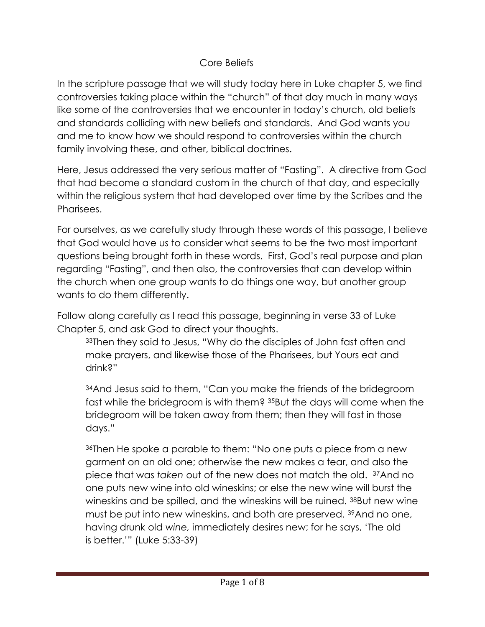## Core Beliefs

In the scripture passage that we will study today here in Luke chapter 5, we find controversies taking place within the "church" of that day much in many ways like some of the controversies that we encounter in today's church, old beliefs and standards colliding with new beliefs and standards. And God wants you and me to know how we should respond to controversies within the church family involving these, and other, biblical doctrines.

Here, Jesus addressed the very serious matter of "Fasting". A directive from God that had become a standard custom in the church of that day, and especially within the religious system that had developed over time by the Scribes and the Pharisees.

For ourselves, as we carefully study through these words of this passage, I believe that God would have us to consider what seems to be the two most important questions being brought forth in these words. First, God's real purpose and plan regarding "Fasting", and then also, the controversies that can develop within the church when one group wants to do things one way, but another group wants to do them differently.

Follow along carefully as I read this passage, beginning in verse 33 of Luke Chapter 5, and ask God to direct your thoughts.

<sup>33</sup>Then they said to Jesus, "Why do the disciples of John fast often and make prayers, and likewise those of the Pharisees, but Yours eat and drink?"

<sup>34</sup>And Jesus said to them, "Can you make the friends of the bridegroom fast while the bridegroom is with them? <sup>35</sup>But the days will come when the bridegroom will be taken away from them; then they will fast in those days."

<sup>36</sup>Then He spoke a parable to them: "No one puts a piece from a new garment on an old one; otherwise the new makes a tear, and also the piece that was *taken* out of the new does not match the old. <sup>37</sup>And no one puts new wine into old wineskins; or else the new wine will burst the wineskins and be spilled, and the wineskins will be ruined. <sup>38</sup>But new wine must be put into new wineskins, and both are preserved. 39And no one, having drunk old *wine,* immediately desires new; for he says, 'The old is better.'" (Luke 5:33-39)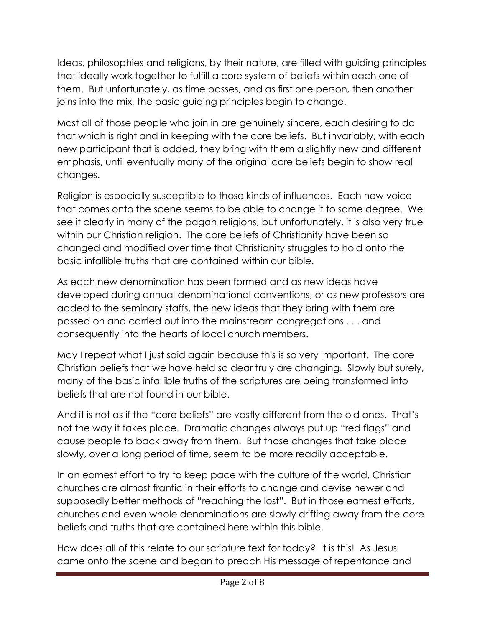Ideas, philosophies and religions, by their nature, are filled with guiding principles that ideally work together to fulfill a core system of beliefs within each one of them. But unfortunately, as time passes, and as first one person, then another joins into the mix, the basic guiding principles begin to change.

Most all of those people who join in are genuinely sincere, each desiring to do that which is right and in keeping with the core beliefs. But invariably, with each new participant that is added, they bring with them a slightly new and different emphasis, until eventually many of the original core beliefs begin to show real changes.

Religion is especially susceptible to those kinds of influences. Each new voice that comes onto the scene seems to be able to change it to some degree. We see it clearly in many of the pagan religions, but unfortunately, it is also very true within our Christian religion. The core beliefs of Christianity have been so changed and modified over time that Christianity struggles to hold onto the basic infallible truths that are contained within our bible.

As each new denomination has been formed and as new ideas have developed during annual denominational conventions, or as new professors are added to the seminary staffs, the new ideas that they bring with them are passed on and carried out into the mainstream congregations . . . and consequently into the hearts of local church members.

May I repeat what I just said again because this is so very important. The core Christian beliefs that we have held so dear truly are changing. Slowly but surely, many of the basic infallible truths of the scriptures are being transformed into beliefs that are not found in our bible.

And it is not as if the "core beliefs" are vastly different from the old ones. That's not the way it takes place. Dramatic changes always put up "red flags" and cause people to back away from them. But those changes that take place slowly, over a long period of time, seem to be more readily acceptable.

In an earnest effort to try to keep pace with the culture of the world, Christian churches are almost frantic in their efforts to change and devise newer and supposedly better methods of "reaching the lost". But in those earnest efforts, churches and even whole denominations are slowly drifting away from the core beliefs and truths that are contained here within this bible.

How does all of this relate to our scripture text for today? It is this! As Jesus came onto the scene and began to preach His message of repentance and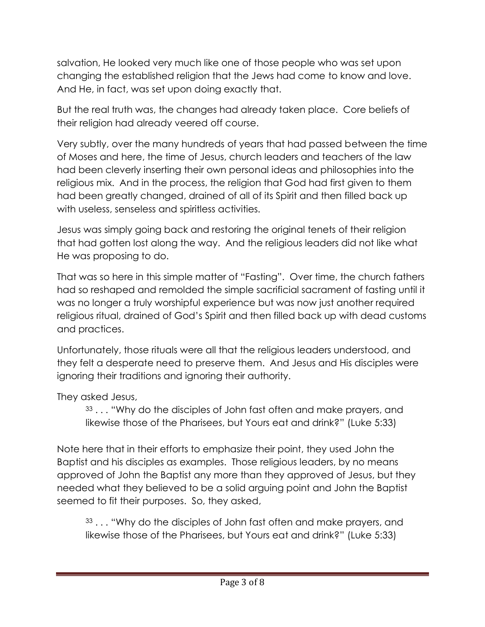salvation, He looked very much like one of those people who was set upon changing the established religion that the Jews had come to know and love. And He, in fact, was set upon doing exactly that.

But the real truth was, the changes had already taken place. Core beliefs of their religion had already veered off course.

Very subtly, over the many hundreds of years that had passed between the time of Moses and here, the time of Jesus, church leaders and teachers of the law had been cleverly inserting their own personal ideas and philosophies into the religious mix. And in the process, the religion that God had first given to them had been greatly changed, drained of all of its Spirit and then filled back up with useless, senseless and spiritless activities.

Jesus was simply going back and restoring the original tenets of their religion that had gotten lost along the way. And the religious leaders did not like what He was proposing to do.

That was so here in this simple matter of "Fasting". Over time, the church fathers had so reshaped and remolded the simple sacrificial sacrament of fasting until it was no longer a truly worshipful experience but was now just another required religious ritual, drained of God's Spirit and then filled back up with dead customs and practices.

Unfortunately, those rituals were all that the religious leaders understood, and they felt a desperate need to preserve them. And Jesus and His disciples were ignoring their traditions and ignoring their authority.

They asked Jesus,

33... "Why do the disciples of John fast often and make prayers, and likewise those of the Pharisees, but Yours eat and drink?" (Luke 5:33)

Note here that in their efforts to emphasize their point, they used John the Baptist and his disciples as examples. Those religious leaders, by no means approved of John the Baptist any more than they approved of Jesus, but they needed what they believed to be a solid arguing point and John the Baptist seemed to fit their purposes. So, they asked,

<sup>33</sup> . . . "Why do the disciples of John fast often and make prayers, and likewise those of the Pharisees, but Yours eat and drink?" (Luke 5:33)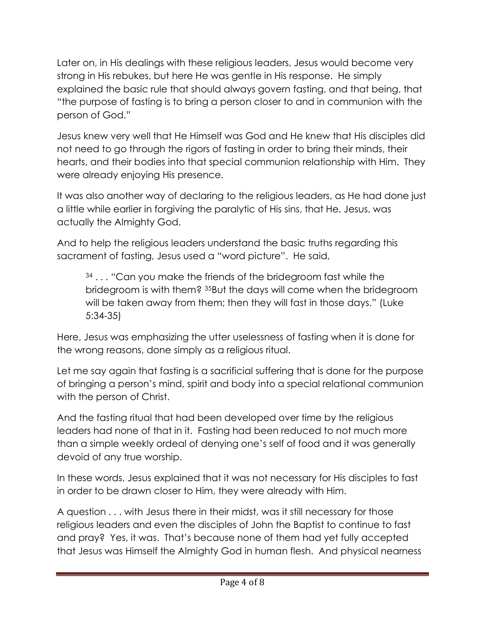Later on, in His dealings with these religious leaders, Jesus would become very strong in His rebukes, but here He was gentle in His response. He simply explained the basic rule that should always govern fasting, and that being, that "the purpose of fasting is to bring a person closer to and in communion with the person of God."

Jesus knew very well that He Himself was God and He knew that His disciples did not need to go through the rigors of fasting in order to bring their minds, their hearts, and their bodies into that special communion relationship with Him. They were already enjoying His presence.

It was also another way of declaring to the religious leaders, as He had done just a little while earlier in forgiving the paralytic of His sins, that He, Jesus, was actually the Almighty God.

And to help the religious leaders understand the basic truths regarding this sacrament of fasting, Jesus used a "word picture". He said,

<sup>34</sup> . . . "Can you make the friends of the bridegroom fast while the bridegroom is with them? <sup>35</sup>But the days will come when the bridegroom will be taken away from them; then they will fast in those days." (Luke 5:34-35)

Here, Jesus was emphasizing the utter uselessness of fasting when it is done for the wrong reasons, done simply as a religious ritual.

Let me say again that fasting is a sacrificial suffering that is done for the purpose of bringing a person's mind, spirit and body into a special relational communion with the person of Christ.

And the fasting ritual that had been developed over time by the religious leaders had none of that in it. Fasting had been reduced to not much more than a simple weekly ordeal of denying one's self of food and it was generally devoid of any true worship.

In these words, Jesus explained that it was not necessary for His disciples to fast in order to be drawn closer to Him, they were already with Him.

A question . . . with Jesus there in their midst, was it still necessary for those religious leaders and even the disciples of John the Baptist to continue to fast and pray? Yes, it was. That's because none of them had yet fully accepted that Jesus was Himself the Almighty God in human flesh. And physical nearness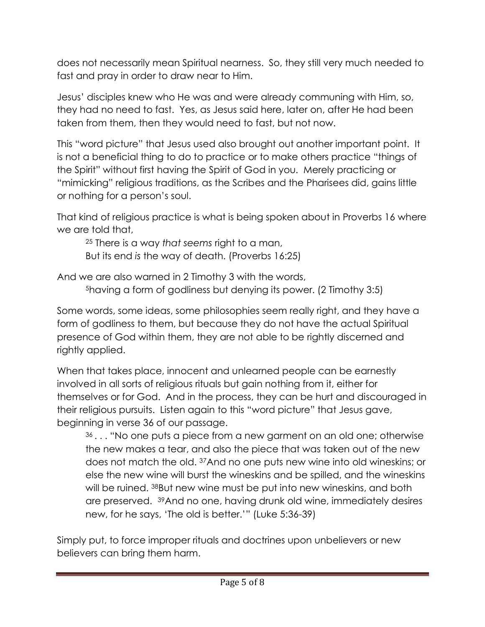does not necessarily mean Spiritual nearness. So, they still very much needed to fast and pray in order to draw near to Him.

Jesus' disciples knew who He was and were already communing with Him, so, they had no need to fast. Yes, as Jesus said here, later on, after He had been taken from them, then they would need to fast, but not now.

This "word picture" that Jesus used also brought out another important point. It is not a beneficial thing to do to practice or to make others practice "things of the Spirit" without first having the Spirit of God in you. Merely practicing or "mimicking" religious traditions, as the Scribes and the Pharisees did, gains little or nothing for a person's soul.

That kind of religious practice is what is being spoken about in Proverbs 16 where we are told that,

<sup>25</sup> There is a way *that seems* right to a man, But its end *is* the way of death. (Proverbs 16:25)

And we are also warned in 2 Timothy 3 with the words,

<sup>5</sup>having a form of godliness but denying its power. (2 Timothy 3:5)

Some words, some ideas, some philosophies seem really right, and they have a form of godliness to them, but because they do not have the actual Spiritual presence of God within them, they are not able to be rightly discerned and rightly applied.

When that takes place, innocent and unlearned people can be earnestly involved in all sorts of religious rituals but gain nothing from it, either for themselves or for God. And in the process, they can be hurt and discouraged in their religious pursuits. Listen again to this "word picture" that Jesus gave, beginning in verse 36 of our passage.

<sup>36</sup>. . . "No one puts a piece from a new garment on an old one; otherwise the new makes a tear, and also the piece that was taken out of the new does not match the old. <sup>37</sup>And no one puts new wine into old wineskins; or else the new wine will burst the wineskins and be spilled, and the wineskins will be ruined. 38But new wine must be put into new wineskins, and both are preserved. <sup>39</sup>And no one, having drunk old wine, immediately desires new, for he says, 'The old is better.'" (Luke 5:36-39)

Simply put, to force improper rituals and doctrines upon unbelievers or new believers can bring them harm.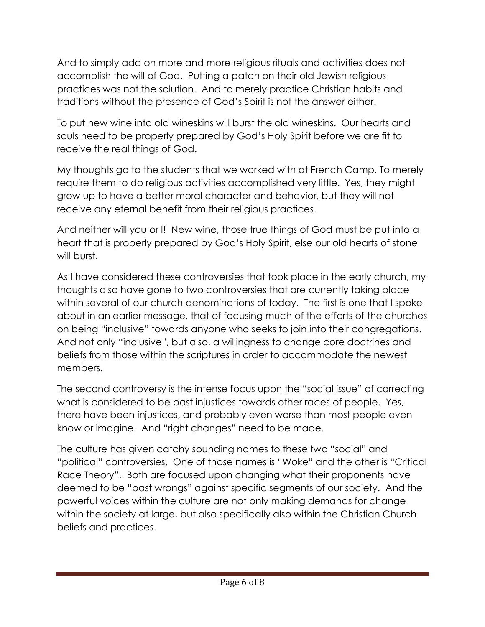And to simply add on more and more religious rituals and activities does not accomplish the will of God. Putting a patch on their old Jewish religious practices was not the solution. And to merely practice Christian habits and traditions without the presence of God's Spirit is not the answer either.

To put new wine into old wineskins will burst the old wineskins. Our hearts and souls need to be properly prepared by God's Holy Spirit before we are fit to receive the real things of God.

My thoughts go to the students that we worked with at French Camp. To merely require them to do religious activities accomplished very little. Yes, they might grow up to have a better moral character and behavior, but they will not receive any eternal benefit from their religious practices.

And neither will you or I! New wine, those true things of God must be put into a heart that is properly prepared by God's Holy Spirit, else our old hearts of stone will burst.

As I have considered these controversies that took place in the early church, my thoughts also have gone to two controversies that are currently taking place within several of our church denominations of today. The first is one that I spoke about in an earlier message, that of focusing much of the efforts of the churches on being "inclusive" towards anyone who seeks to join into their congregations. And not only "inclusive", but also, a willingness to change core doctrines and beliefs from those within the scriptures in order to accommodate the newest members.

The second controversy is the intense focus upon the "social issue" of correcting what is considered to be past injustices towards other races of people. Yes, there have been injustices, and probably even worse than most people even know or imagine. And "right changes" need to be made.

The culture has given catchy sounding names to these two "social" and "political" controversies. One of those names is "Woke" and the other is "Critical Race Theory". Both are focused upon changing what their proponents have deemed to be "past wrongs" against specific segments of our society. And the powerful voices within the culture are not only making demands for change within the society at large, but also specifically also within the Christian Church beliefs and practices.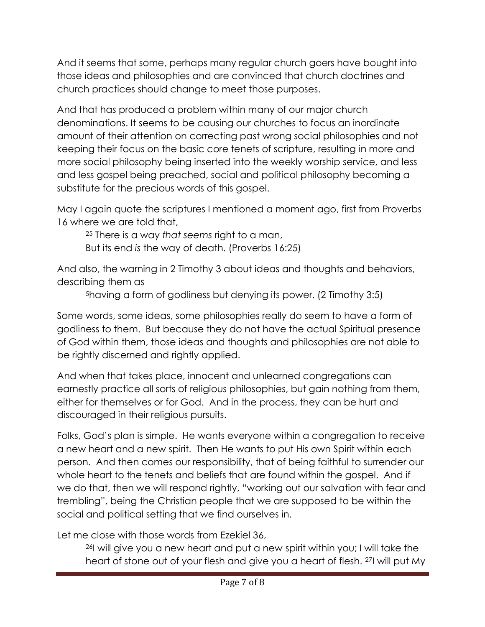And it seems that some, perhaps many regular church goers have bought into those ideas and philosophies and are convinced that church doctrines and church practices should change to meet those purposes.

And that has produced a problem within many of our major church denominations. It seems to be causing our churches to focus an inordinate amount of their attention on correcting past wrong social philosophies and not keeping their focus on the basic core tenets of scripture, resulting in more and more social philosophy being inserted into the weekly worship service, and less and less gospel being preached, social and political philosophy becoming a substitute for the precious words of this gospel.

May I again quote the scriptures I mentioned a moment ago, first from Proverbs 16 where we are told that,

<sup>25</sup> There is a way *that seems* right to a man,

But its end *is* the way of death. (Proverbs 16:25)

And also, the warning in 2 Timothy 3 about ideas and thoughts and behaviors, describing them as

<sup>5</sup>having a form of godliness but denying its power. (2 Timothy 3:5)

Some words, some ideas, some philosophies really do seem to have a form of godliness to them. But because they do not have the actual Spiritual presence of God within them, those ideas and thoughts and philosophies are not able to be rightly discerned and rightly applied.

And when that takes place, innocent and unlearned congregations can earnestly practice all sorts of religious philosophies, but gain nothing from them, either for themselves or for God. And in the process, they can be hurt and discouraged in their religious pursuits.

Folks, God's plan is simple. He wants everyone within a congregation to receive a new heart and a new spirit. Then He wants to put His own Spirit within each person. And then comes our responsibility, that of being faithful to surrender our whole heart to the tenets and beliefs that are found within the gospel. And if we do that, then we will respond rightly, "working out our salvation with fear and trembling", being the Christian people that we are supposed to be within the social and political setting that we find ourselves in.

Let me close with those words from Ezekiel 36,

<sup>26</sup>I will give you a new heart and put a new spirit within you; I will take the heart of stone out of your flesh and give you a heart of flesh. <sup>27</sup>I will put My